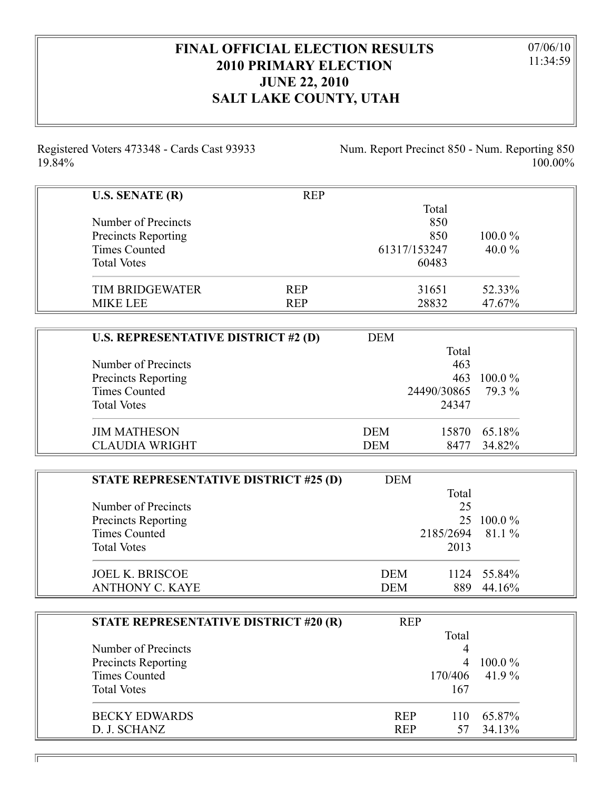## **FINAL OFFICIAL ELECTION RESULTS 2010 PRIMARY ELECTION JUNE 22, 2010 SALT LAKE COUNTY, UTAH**

07/06/10 11:34:59

Registered Voters 473348 - Cards Cast 93933 19.84%

Num. Report Precinct 850 - Num. Reporting 850 100.00%

| <b>U.S. SENATE (R)</b> | <b>REP</b> |              |           |
|------------------------|------------|--------------|-----------|
|                        |            | Total        |           |
| Number of Precincts    |            | 850          |           |
| Precincts Reporting    |            | 850          | $100.0\%$ |
| Times Counted          |            | 61317/153247 | 40.0 $%$  |
| <b>Total Votes</b>     |            | 60483        |           |
| <b>TIM BRIDGEWATER</b> | <b>REP</b> | 31651        | 52.33%    |
| <b>MIKE LEE</b>        | <b>REP</b> | 28832        | 47.67%    |

| <b>U.S. REPRESENTATIVE DISTRICT #2 (D)</b> | <b>DEM</b> |             |           |
|--------------------------------------------|------------|-------------|-----------|
|                                            |            | Total       |           |
| Number of Precincts                        |            | 463         |           |
| Precincts Reporting                        |            | 463         | $100.0\%$ |
| <b>Times Counted</b>                       |            | 24490/30865 | 79.3 %    |
| <b>Total Votes</b>                         |            | 24347       |           |
| <b>JIM MATHESON</b>                        | <b>DEM</b> | 15870       | 65.18%    |
| <b>CLAUDIA WRIGHT</b>                      | <b>DEM</b> | 8477        | 34.82%    |

| STATE REPRESENTATIVE DISTRICT #25 (D) | <b>DEM</b> |                  |            |
|---------------------------------------|------------|------------------|------------|
|                                       |            | Total            |            |
| Number of Precincts                   |            | 25               |            |
| Precincts Reporting                   |            |                  | 25 100.0 % |
| <b>Times Counted</b>                  |            | 2185/2694 81.1 % |            |
| <b>Total Votes</b>                    |            | 2013             |            |
| <b>JOEL K. BRISCOE</b>                | <b>DEM</b> | 1124             | 55.84%     |
| <b>ANTHONY C. KAYE</b>                | <b>DEM</b> | 889              | 44.16%     |

| STATE REPRESENTATIVE DISTRICT #20 (R) | <b>REP</b> |         |           |
|---------------------------------------|------------|---------|-----------|
|                                       |            | Total   |           |
| Number of Precincts                   |            |         |           |
| Precincts Reporting                   |            |         | $100.0\%$ |
| <b>Times Counted</b>                  |            | 170/406 | 41.9%     |
| <b>Total Votes</b>                    |            | 167     |           |
| <b>BECKY EDWARDS</b>                  | <b>REP</b> | 110     | 65.87%    |
| D. J. SCHANZ                          | <b>REP</b> | 57.     | 34.13%    |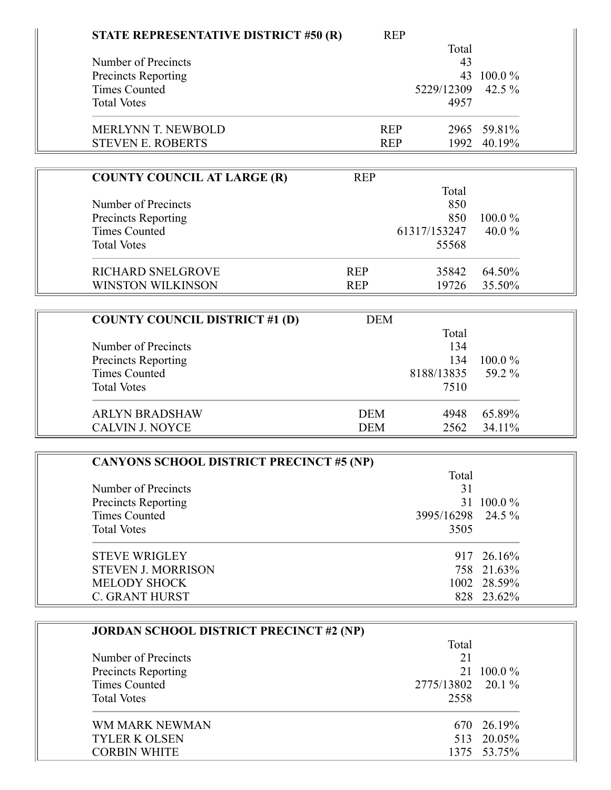| STATE REPRESENTATIVE DISTRICT #50 (R) | <b>REP</b> |              |             |
|---------------------------------------|------------|--------------|-------------|
|                                       |            | Total        |             |
| Number of Precincts                   |            | 43           |             |
| <b>Precincts Reporting</b>            |            | 43           | $100.0\%$   |
| <b>Times Counted</b>                  |            | 5229/12309   | 42.5 $%$    |
| <b>Total Votes</b>                    |            | 4957         |             |
| <b>MERLYNN T. NEWBOLD</b>             | <b>REP</b> |              | 2965 59.81% |
| <b>STEVEN E. ROBERTS</b>              | <b>REP</b> |              | 1992 40.19% |
|                                       |            |              |             |
| <b>COUNTY COUNCIL AT LARGE (R)</b>    | <b>REP</b> |              |             |
|                                       |            | Total        |             |
| Number of Precincts                   |            | 850          |             |
| <b>Precincts Reporting</b>            |            | 850          | $100.0\%$   |
| <b>Times Counted</b>                  |            | 61317/153247 | 40.0 $%$    |
| <b>Total Votes</b>                    |            | 55568        |             |

RICHARD SNELGROVE REP 35842 64.50% REP 35842 55.50% WINSTON WILKINSON

| <b>COUNTY COUNCIL DISTRICT #1 (D)</b> | <b>DEM</b> |            |           |  |
|---------------------------------------|------------|------------|-----------|--|
|                                       |            | Total      |           |  |
| Number of Precincts                   |            | 134        |           |  |
| Precincts Reporting                   |            | 134        | $100.0\%$ |  |
| <b>Times Counted</b>                  |            | 8188/13835 | 59.2 %    |  |
| <b>Total Votes</b>                    |            | 7510       |           |  |
| <b>ARLYN BRADSHAW</b>                 | <b>DEM</b> | 4948       | 65.89%    |  |
| <b>CALVIN J. NOYCE</b>                | <b>DEM</b> | 2562       | 34.11%    |  |

| <b>CANYONS SCHOOL DISTRICT PRECINCT #5 (NP)</b> |                   |             |  |
|-------------------------------------------------|-------------------|-------------|--|
|                                                 | Total             |             |  |
| Number of Precincts                             | 31                |             |  |
| <b>Precincts Reporting</b>                      |                   | 31 100.0 %  |  |
| Times Counted                                   | 3995/16298 24.5 % |             |  |
| <b>Total Votes</b>                              | 3505              |             |  |
| <b>STEVE WRIGLEY</b>                            |                   | 917 26.16%  |  |
| <b>STEVEN J. MORRISON</b>                       |                   | 758 21.63%  |  |
| <b>MELODY SHOCK</b>                             |                   | 1002 28.59% |  |
| <b>C. GRANT HURST</b>                           |                   | 828 23.62%  |  |

| <b>JORDAN SCHOOL DISTRICT PRECINCT #2 (NP)</b> |                   |             |  |
|------------------------------------------------|-------------------|-------------|--|
|                                                | Total             |             |  |
| Number of Precincts                            | 21                |             |  |
| <b>Precincts Reporting</b>                     |                   | 21 100.0 %  |  |
| Times Counted                                  | 2775/13802 20.1 % |             |  |
| <b>Total Votes</b>                             | 2558              |             |  |
| WM MARK NEWMAN                                 |                   | 670 26.19%  |  |
| <b>TYLER K OLSEN</b>                           |                   | 513 20.05%  |  |
| <b>CORBIN WHITE</b>                            |                   | 1375 53.75% |  |